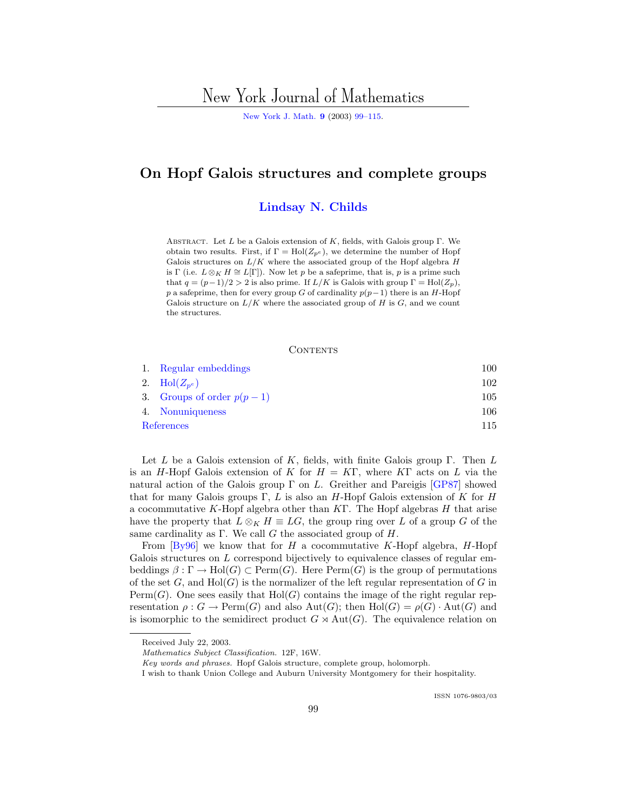# New York Journal of Mathematics

[New York J. Math.](http://nyjm.albany.edu:8000/nyjm.html) **[9](http://nyjm.albany.edu:8000/j/2003/Vol9.htm)** (2003) [99–115](http://nyjm.albany.edu:8000/j/2003/9-8.html).

# **On Hopf Galois structures and complete groups**

### **[Lindsay N. Childs](#page-16-0)**

ABSTRACT. Let L be a Galois extension of K, fields, with Galois group  $\Gamma$ . We obtain two results. First, if  $\Gamma = Hol(Z_{p^e})$ , we determine the number of Hopf Galois structures on  $L/K$  where the associated group of the Hopf algebra  $H$ is Γ (i.e.  $L \otimes_K H \cong L[\Gamma]$ ). Now let p be a safeprime, that is, p is a prime such that  $q = (p-1)/2 > 2$  is also prime. If  $L/K$  is Galois with group  $\Gamma = Hol(Z_p)$ , p a safeprime, then for every group G of cardinality  $p(p-1)$  there is an H-Hopf Galois structure on  $L/K$  where the associated group of H is G, and we count the structures.

#### **CONTENTS**

|            | 1. Regular embeddings       | 100 |
|------------|-----------------------------|-----|
|            | 2. Hol $(Z_{n^e})$          | 102 |
|            | 3. Groups of order $p(p-1)$ | 105 |
|            | 4. Nonuniqueness            | 106 |
| References |                             | 115 |

Let L be a Galois extension of K, fields, with finite Galois group  $\Gamma$ . Then L is an H-Hopf Galois extension of K for  $H = K\Gamma$ , where KT acts on L via the natural action of the Galois group  $\Gamma$  on L. Greither and Pareigis [\[GP87\]](#page-16-0) showed that for many Galois groups Γ, L is also an H-Hopf Galois extension of K for H a cocommutative K-Hopf algebra other than  $KT$ . The Hopf algebras H that arise have the property that  $L \otimes_K H \equiv LG$ , the group ring over L of a group G of the same cardinality as  $\Gamma$ . We call G the associated group of H.

From  $[By 96]$  we know that for H a cocommutative K-Hopf algebra, H-Hopf Galois structures on L correspond bijectively to equivalence classes of regular embeddings  $\beta : \Gamma \to Hol(G) \subset Perm(G)$ . Here  $Perm(G)$  is the group of permutations of the set  $G$ , and  $Hol(G)$  is the normalizer of the left regular representation of G in Perm(G). One sees easily that  $Hol(G)$  contains the image of the right regular representation  $\rho: G \to \text{Perm}(G)$  and also  $\text{Aut}(G)$ ; then  $\text{Hol}(G) = \rho(G) \cdot \text{Aut}(G)$  and is isomorphic to the semidirect product  $G \rtimes \text{Aut}(G)$ . The equivalence relation on

Received July 22, 2003.

Mathematics Subject Classification. 12F,16W.

Key words and phrases. Hopf Galois structure, complete group, holomorph.

I wish to thank Union College and Auburn University Montgomery for their hospitality.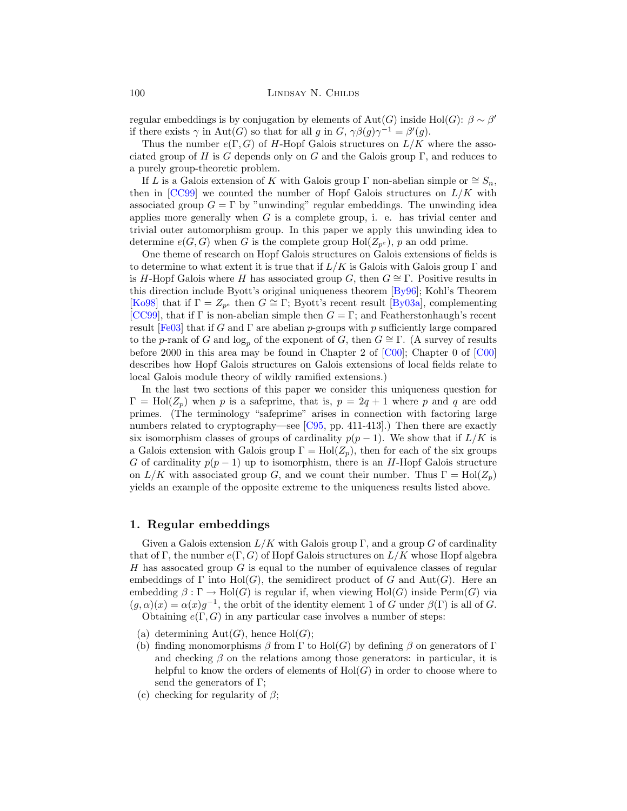<span id="page-1-0"></span>regular embeddings is by conjugation by elements of  $\text{Aut}(G)$  inside  $\text{Hol}(G)$ :  $\beta \sim \beta'$ if there exists  $\gamma$  in Aut(G) so that for all g in G,  $\gamma \beta(g) \gamma^{-1} = \beta'(g)$ .

Thus the number  $e(\Gamma, G)$  of H-Hopf Galois structures on  $L/K$  where the associated group of H is G depends only on G and the Galois group  $\Gamma$ , and reduces to a purely group-theoretic problem.

If L is a Galois extension of K with Galois group  $\Gamma$  non-abelian simple or  $\cong S_n$ , then in  $[CC99]$  $[CC99]$  we counted the number of Hopf Galois structures on  $L/K$  with associated group  $G = \Gamma$  by "unwinding" regular embeddings. The unwinding idea applies more generally when  $G$  is a complete group, i. e. has trivial center and trivial outer automorphism group. In this paper we apply this unwinding idea to determine  $e(G, G)$  when G is the complete group  $Hol(Z_{p^e}), p$  an odd prime.

One theme of research on Hopf Galois structures on Galois extensions of fields is to determine to what extent it is true that if  $L/K$  is Galois with Galois group  $\Gamma$  and is H-Hopf Galois where H has associated group G, then  $G \cong \Gamma$ . Positive results in this direction include Byott's original uniqueness theorem [\[By96\]](#page-16-0); Kohl's Theorem [\[Ko98](#page-16-0)] that if  $\Gamma = Z_{p^e}$  then  $G \cong \Gamma$ ; Byott's recent result [\[By03a](#page-16-0)], complementing [\[CC99\]](#page-16-0), that if  $\Gamma$  is non-abelian simple then  $G = \Gamma$ ; and Featherstonhaugh's recent result [[Fe03\]](#page-16-0) that if G and  $\Gamma$  are abelian p-groups with p sufficiently large compared to the p-rank of G and  $log_p$  of the exponent of G, then  $G \cong \Gamma$ . (A survey of results before 2000 in this area may be found in Chapter 2 of [[C00\]](#page-16-0); Chapter 0 of [\[C00\]](#page-16-0) describes how Hopf Galois structures on Galois extensions of local fields relate to local Galois module theory of wildly ramified extensions.)

In the last two sections of this paper we consider this uniqueness question for  $\Gamma = Hol(Z_p)$  when p is a safeprime, that is,  $p = 2q + 1$  where p and q are odd primes. (The terminology "safeprime" arises in connection with factoring large numbers related to cryptography—see [[C95](#page-16-0), pp. 411-413].) Then there are exactly six isomorphism classes of groups of cardinality  $p(p-1)$ . We show that if  $L/K$  is a Galois extension with Galois group  $\Gamma = Hol(Z_p)$ , then for each of the six groups G of cardinality  $p(p-1)$  up to isomorphism, there is an H-Hopf Galois structure on  $L/K$  with associated group G, and we count their number. Thus  $\Gamma = Hol(Z_n)$ yields an example of the opposite extreme to the uniqueness results listed above.

### **1. Regular embeddings**

Given a Galois extension  $L/K$  with Galois group  $\Gamma$ , and a group G of cardinality that of Γ, the number  $e(\Gamma, G)$  of Hopf Galois structures on  $L/K$  whose Hopf algebra H has assocated group  $G$  is equal to the number of equivalence classes of regular embeddings of  $\Gamma$  into  $\text{Hol}(G)$ , the semidirect product of G and  $\text{Aut}(G)$ . Here an embedding  $\beta : \Gamma \to \text{Hol}(G)$  is regular if, when viewing  $\text{Hol}(G)$  inside Perm $(G)$  via  $(q, \alpha)(x) = \alpha(x)q^{-1}$ , the orbit of the identity element 1 of G under  $\beta(\Gamma)$  is all of G. Obtaining  $e(\Gamma, G)$  in any particular case involves a number of steps:

- (a) determining  $Aut(G)$ , hence  $Hol(G)$ ;
- (b) finding monomorphisms  $\beta$  from  $\Gamma$  to Hol(G) by defining  $\beta$  on generators of  $\Gamma$ and checking  $\beta$  on the relations among those generators: in particular, it is helpful to know the orders of elements of  $Hol(G)$  in order to choose where to send the generators of Γ;
- (c) checking for regularity of  $\beta$ ;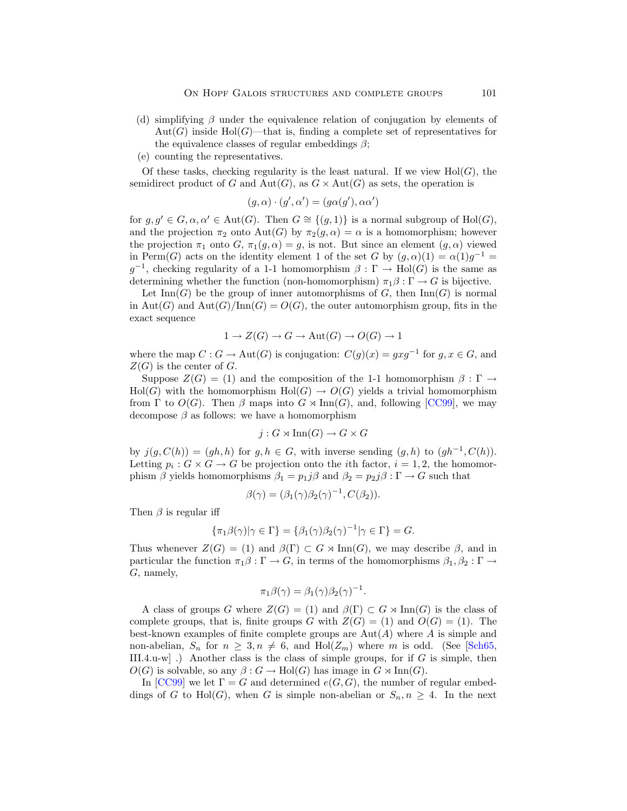- (d) simplifying  $\beta$  under the equivalence relation of conjugation by elements of  $Aut(G)$  inside Hol(G)—that is, finding a complete set of representatives for the equivalence classes of regular embeddings  $\beta$ ;
- (e) counting the representatives.

Of these tasks, checking regularity is the least natural. If we view  $Hol(G)$ , the semidirect product of G and  $Aut(G)$ , as  $G \times Aut(G)$  as sets, the operation is

$$
(g, \alpha) \cdot (g', \alpha') = (g\alpha(g'), \alpha\alpha')
$$

for  $g, g' \in G$ ,  $\alpha, \alpha' \in \text{Aut}(G)$ . Then  $G \cong \{(g, 1)\}\$ is a normal subgroup of  $\text{Hol}(G)$ , and the projection  $\pi_2$  onto Aut(G) by  $\pi_2(g, \alpha) = \alpha$  is a homomorphism; however the projection  $\pi_1$  onto G,  $\pi_1(g, \alpha) = g$ , is not. But since an element  $(g, \alpha)$  viewed in Perm(G) acts on the identity element 1 of the set G by  $(g, \alpha)(1) = \alpha(1)g^{-1}$  $g^{-1}$ , checking regularity of a 1-1 homomorphism  $\beta : \Gamma \to Hol(G)$  is the same as determining whether the function (non-homomorphism)  $\pi_1 \beta : \Gamma \to G$  is bijective.

Let  $\text{Inn}(G)$  be the group of inner automorphisms of G, then  $\text{Inn}(G)$  is normal in Aut(G) and Aut(G)/Inn(G) =  $O(G)$ , the outer automorphism group, fits in the exact sequence

$$
1 \to Z(G) \to G \to \text{Aut}(G) \to O(G) \to 1
$$

where the map  $C : G \to \text{Aut}(G)$  is conjugation:  $C(g)(x) = gxg^{-1}$  for  $g, x \in G$ , and  $Z(G)$  is the center of G.

Suppose  $Z(G) = (1)$  and the composition of the 1-1 homomorphism  $\beta : \Gamma \to$  $\text{Hol}(G)$  with the homomorphism  $\text{Hol}(G) \to O(G)$  yields a trivial homomorphism from  $\Gamma$  to  $O(G)$ . Then  $\beta$  maps into  $G \rtimes \text{Inn}(G)$ , and, following [[CC99](#page-16-0)], we may decompose  $\beta$  as follows: we have a homomorphism

$$
j: G \rtimes \text{Inn}(G) \to G \times G
$$

by  $j(g, C(h)) = (gh, h)$  for  $g, h \in G$ , with inverse sending  $(g, h)$  to  $(gh^{-1}, C(h))$ . Letting  $p_i : G \times G \to G$  be projection onto the *i*th factor,  $i = 1, 2$ , the homomorphism  $\beta$  yields homomorphisms  $\beta_1 = p_1 \mathbf{j} \beta$  and  $\beta_2 = p_2 \mathbf{j} \beta : \Gamma \to G$  such that

$$
\beta(\gamma) = (\beta_1(\gamma)\beta_2(\gamma)^{-1}, C(\beta_2)).
$$

Then  $\beta$  is regular iff

$$
\{\pi_1\beta(\gamma)|\gamma\in\Gamma\}=\{\beta_1(\gamma)\beta_2(\gamma)^{-1}|\gamma\in\Gamma\}=G.
$$

Thus whenever  $Z(G) = (1)$  and  $\beta(\Gamma) \subset G \rtimes \text{Inn}(G)$ , we may describe  $\beta$ , and in particular the function  $\pi_1 \beta : \Gamma \to G$ , in terms of the homomorphisms  $\beta_1, \beta_2 : \Gamma \to$ G, namely,

$$
\pi_1 \beta(\gamma) = \beta_1(\gamma) \beta_2(\gamma)^{-1}.
$$

A class of groups G where  $Z(G) = (1)$  and  $\beta(\Gamma) \subset G \rtimes \text{Inn}(G)$  is the class of complete groups, that is, finite groups G with  $Z(G) = (1)$  and  $O(G) = (1)$ . The best-known examples of finite complete groups are  $\text{Aut}(A)$  where A is simple and non-abelian,  $S_n$  for  $n \geq 3, n \neq 6$ , and  $\text{Hol}(Z_m)$  where m is odd. (See [\[Sch65,](#page-16-0) III.4.u-w]. Another class is the class of simple groups, for if G is simple, then  $O(G)$  is solvable, so any  $\beta: G \to Hol(G)$  has image in  $G \rtimes Inn(G)$ .

In  $[CC99]$  $[CC99]$  $[CC99]$  we let  $\Gamma = G$  and determined  $e(G, G)$ , the number of regular embeddings of G to Hol(G), when G is simple non-abelian or  $S_n, n \geq 4$ . In the next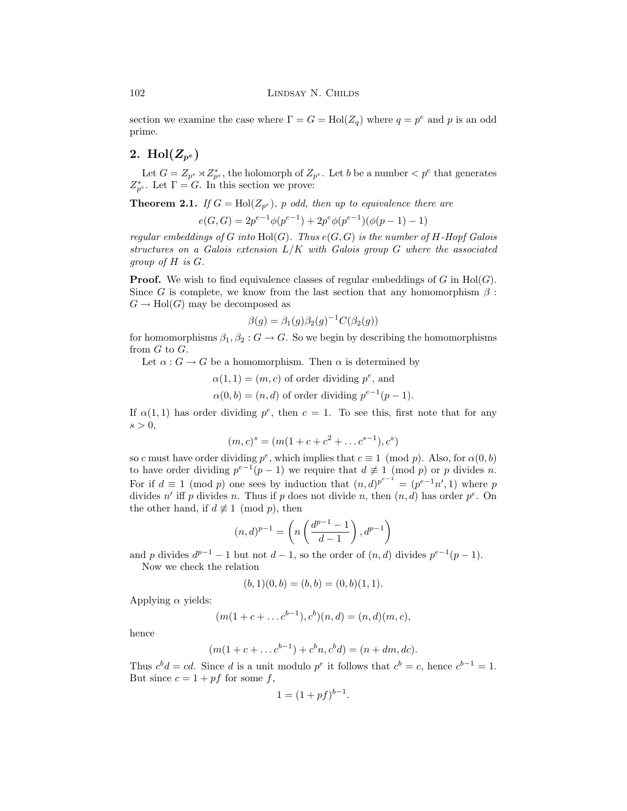<span id="page-3-0"></span>section we examine the case where  $\Gamma = G = Hol(Z_q)$  where  $q = p^e$  and p is an odd prime.

## 2. Hol $(Z_{p^e})$

Let  $G = Z_{p^e} \rtimes Z_{p^e}^*$ , the holomorph of  $Z_{p^e}$ . Let b be a number  $\lt p^e$  that generates  $Z_{p^e}^*$ . Let  $\Gamma = G$ . In this section we prove:

**Theorem 2.1.** If  $G = Hol(Z_{p^e})$ , p odd, then up to equivalence there are

 $e(G, G) = 2p^{e-1}\phi(p^{e-1}) + 2p^e\phi(p^{e-1})(\phi(p-1) - 1)$ 

regular embeddings of G into  $Hol(G)$ . Thus  $e(G, G)$  is the number of H-Hopf Galois structures on a Galois extension  $L/K$  with Galois group G where the associated group of H is G.

**Proof.** We wish to find equivalence classes of regular embeddings of G in  $Hol(G)$ . Since G is complete, we know from the last section that any homomorphism  $\beta$ :  $G \to Hol(G)$  may be decomposed as

$$
\beta(g) = \beta_1(g)\beta_2(g)^{-1}C(\beta_2(g))
$$

for homomorphisms  $\beta_1, \beta_2 : G \to G$ . So we begin by describing the homomorphisms from  $G$  to  $G$ .

Let  $\alpha$ :  $G \to G$  be a homomorphism. Then  $\alpha$  is determined by

$$
\alpha(1, 1) = (m, c)
$$
 of order dividing  $p^e$ , and  
\n $\alpha(0, b) = (n, d)$  of order dividing  $p^{e-1}(p - 1)$ .

If  $\alpha(1,1)$  has order dividing  $p^e$ , then  $c=1$ . To see this, first note that for any  $s > 0$ ,

$$
(m, c)^s = (m(1 + c + c^2 + \dots c^{s-1}), c^s)
$$

so c must have order dividing  $p^e$ , which implies that  $c \equiv 1 \pmod{p}$ . Also, for  $\alpha(0, b)$ to have order dividing  $p^{e-1}(p-1)$  we require that  $d \not\equiv 1 \pmod{p}$  or p divides n. For if  $d \equiv 1 \pmod{p}$  one sees by induction that  $(n, d)^{p^{e-1}} = (p^{e-1}n', 1)$  where p divides n' iff p divides n. Thus if p does not divide n, then  $(n, d)$  has order  $p^e$ . On the other hand, if  $d \not\equiv 1 \pmod{p}$ , then

$$
(n,d)^{p-1}=\left(n\left(\frac{d^{p-1}-1}{d-1}\right),d^{p-1}\right)
$$

and p divides  $d^{p-1} - 1$  but not  $d - 1$ , so the order of  $(n, d)$  divides  $p^{e-1}(p - 1)$ .

Now we check the relation

$$
(b,1)(0,b) = (b,b) = (0,b)(1,1).
$$

Applying  $\alpha$  yields:

$$
(m(1 + c + \dots c^{b-1}), c^b)(n, d) = (n, d)(m, c),
$$

hence

$$
(m(1 + c + \dots c^{b-1}) + c^b n, c^b d) = (n + dm, dc).
$$

Thus  $c^b d = cd$ . Since d is a unit modulo  $p^e$  it follows that  $c^b = c$ , hence  $c^{b-1} = 1$ . But since  $c = 1 + pf$  for some f,

$$
1 = (1 + pf)^{b-1}.
$$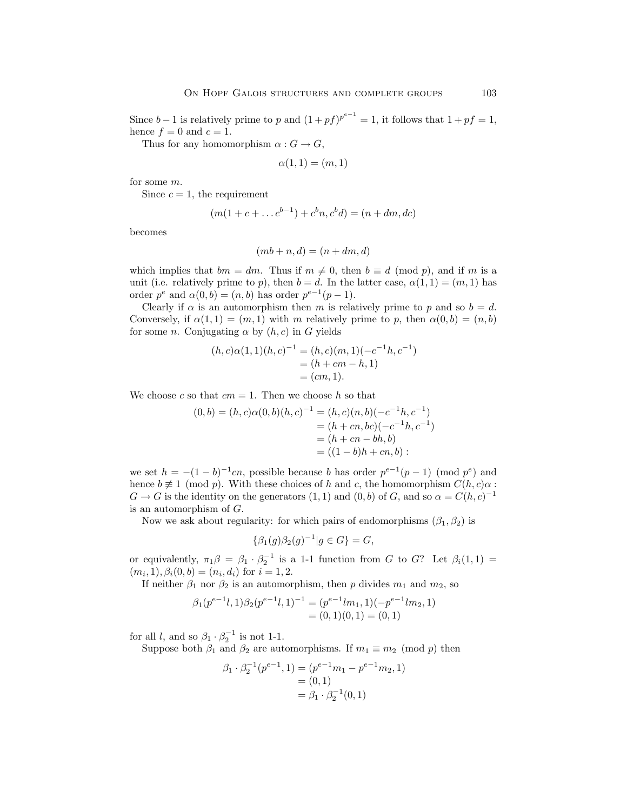Since  $b-1$  is relatively prime to p and  $(1 + pf)^{p^{e-1}} = 1$ , it follows that  $1 + pf = 1$ , hence  $f = 0$  and  $c = 1$ .

Thus for any homomorphism  $\alpha: G \to G$ ,

$$
\alpha(1,1)=(m,1)
$$

for some m.

Since  $c = 1$ , the requirement

$$
(m(1 + c + \dots c^{b-1}) + c^b n, c^b d) = (n + dm, dc)
$$

becomes

$$
(mb + n, d) = (n + dm, d)
$$

which implies that  $bm = dm$ . Thus if  $m \neq 0$ , then  $b \equiv d \pmod{p}$ , and if m is a unit (i.e. relatively prime to p), then  $b = d$ . In the latter case,  $\alpha(1, 1) = (m, 1)$  has order  $p^e$  and  $\alpha(0, b) = (n, b)$  has order  $p^{e-1}(p - 1)$ .

Clearly if  $\alpha$  is an automorphism then m is relatively prime to p and so  $b = d$ . Conversely, if  $\alpha(1,1) = (m,1)$  with m relatively prime to p, then  $\alpha(0,b) = (n, b)$ for some *n*. Conjugating  $\alpha$  by  $(h, c)$  in G yields

$$
(h, c)\alpha(1, 1)(h, c)^{-1} = (h, c)(m, 1)(-c^{-1}h, c^{-1})
$$
  
=  $(h + cm - h, 1)$   
=  $(cm, 1).$ 

We choose c so that  $cm = 1$ . Then we choose h so that

$$
(0,b) = (h,c)\alpha(0,b)(h,c)^{-1} = (h,c)(n,b)(-c^{-1}h,c^{-1})
$$
  
=  $(h+cn,bc)(-c^{-1}h,c^{-1})$   
=  $(h+cn-bh,b)$   
=  $((1-b)h+cn,b)$ :

we set  $h = -(1 - b)^{-1}cn$ , possible because b has order  $p^{e-1}(p-1)$  (mod  $p^e$ ) and hence  $b \neq 1 \pmod{p}$ . With these choices of h and c, the homomorphism  $C(h, c)\alpha$ :  $G \to G$  is the identity on the generators  $(1, 1)$  and  $(0, b)$  of G, and so  $\alpha = C(h, c)^{-1}$ is an automorphism of  $G$ .

Now we ask about regularity: for which pairs of endomorphisms  $(\beta_1, \beta_2)$  is

$$
\{\beta_1(g)\beta_2(g)^{-1}|g \in G\} = G,
$$

or equivalently,  $\pi_1 \beta = \beta_1 \cdot \beta_2^{-1}$  is a 1-1 function from G to G? Let  $\beta_i(1,1)$  =  $(m_i, 1), \beta_i(0, b) = (n_i, d_i)$  for  $i = 1, 2$ .

If neither  $\beta_1$  nor  $\beta_2$  is an automorphism, then p divides  $m_1$  and  $m_2$ , so

$$
\beta_1(p^{e-1}l,1)\beta_2(p^{e-1}l,1)^{-1} = (p^{e-1}lm_1,1)(-p^{e-1}lm_2,1)
$$
  
= (0,1)(0,1) = (0,1)

for all l, and so  $\beta_1 \cdot \beta_2^{-1}$  is not 1-1.

Suppose both  $\beta_1$  and  $\beta_2$  are automorphisms. If  $m_1 \equiv m_2 \pmod{p}$  then

$$
\beta_1 \cdot \beta_2^{-1}(p^{e-1}, 1) = (p^{e-1}m_1 - p^{e-1}m_2, 1)
$$
  
= (0, 1)  
=  $\beta_1 \cdot \beta_2^{-1}(0, 1)$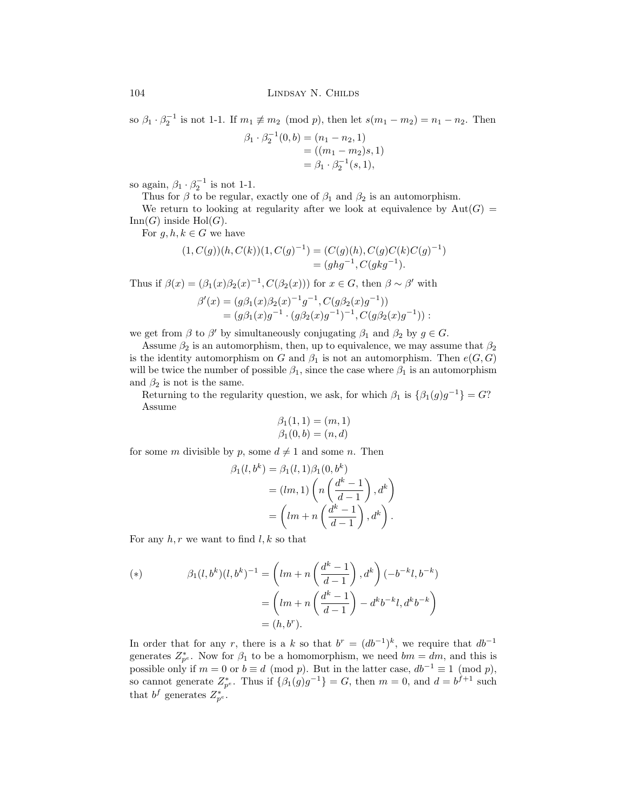<span id="page-5-0"></span>so  $\beta_1 \cdot \beta_2^{-1}$  is not 1-1. If  $m_1 \not\equiv m_2 \pmod{p}$ , then let  $s(m_1 - m_2) = n_1 - n_2$ . Then

$$
\beta_1 \cdot \beta_2^{-1}(0, b) = (n_1 - n_2, 1)
$$
  
= ((m\_1 - m\_2)s, 1)  
=  $\beta_1 \cdot \beta_2^{-1}(s, 1)$ ,

so again,  $\beta_1 \cdot \beta_2^{-1}$  is not 1-1.

Thus for  $\beta$  to be regular, exactly one of  $\beta_1$  and  $\beta_2$  is an automorphism.

We return to looking at regularity after we look at equivalence by  $Aut(G)$  =  $Inn(G)$  inside  $Hol(G)$ .

For 
$$
g, h, k \in G
$$
 we have

$$
(1, C(g))(h, C(k))(1, C(g)^{-1}) = (C(g)(h), C(g)C(k)C(g)^{-1})
$$
  
=  $(ghg^{-1}, C(gkg^{-1}).$ 

Thus if  $\beta(x)=(\beta_1(x)\beta_2(x)^{-1}, C(\beta_2(x)))$  for  $x\in G$ , then  $\beta\sim\beta'$  with

$$
\beta'(x) = (g\beta_1(x)\beta_2(x)^{-1}g^{-1}, C(g\beta_2(x)g^{-1}))
$$
  
=  $(g\beta_1(x)g^{-1} \cdot (g\beta_2(x)g^{-1})^{-1}, C(g\beta_2(x)g^{-1}))$ :

we get from  $\beta$  to  $\beta'$  by simultaneously conjugating  $\beta_1$  and  $\beta_2$  by  $g \in G$ .

Assume  $\beta_2$  is an automorphism, then, up to equivalence, we may assume that  $\beta_2$ is the identity automorphism on G and  $\beta_1$  is not an automorphism. Then  $e(G, G)$ will be twice the number of possible  $\beta_1$ , since the case where  $\beta_1$  is an automorphism and  $\beta_2$  is not is the same.

Returning to the regularity question, we ask, for which  $\beta_1$  is  $\{\beta_1(q)q^{-1}\}=G$ ? Assume

$$
\beta_1(1,1) = (m,1) \n\beta_1(0,b) = (n,d)
$$

for some m divisible by p, some  $d \neq 1$  and some n. Then

$$
\beta_1(l, b^k) = \beta_1(l, 1)\beta_1(0, b^k)
$$
  
=  $(lm, 1) \left( n \left( \frac{d^k - 1}{d - 1} \right), d^k \right)$   
=  $\left( lm + n \left( \frac{d^k - 1}{d - 1} \right), d^k \right).$ 

For any  $h, r$  we want to find  $l, k$  so that

(\*) 
$$
\beta_1(l, b^k)(l, b^k)^{-1} = \left(lm + n\left(\frac{d^k - 1}{d - 1}\right), d^k\right)(-b^{-k}l, b^{-k})
$$

$$
= \left(lm + n\left(\frac{d^k - 1}{d - 1}\right) - d^k b^{-k}l, d^k b^{-k}\right)
$$

$$
= (h, b^r).
$$

In order that for any r, there is a k so that  $b^r = (db^{-1})^k$ , we require that  $db^{-1}$ generates  $Z_{p^e}^*$ . Now for  $\beta_1$  to be a homomorphism, we need  $bm = dm$ , and this is possible only if  $m = 0$  or  $b \equiv d \pmod{p}$ . But in the latter case,  $db^{-1} \equiv 1 \pmod{p}$ , so cannot generate  $Z_{p^e}^*$ . Thus if  $\{\beta_1(g)g^{-1}\}=G$ , then  $m=0$ , and  $d=b^{f+1}$  such that  $b^f$  generates  $Z_{p^e}^*$ .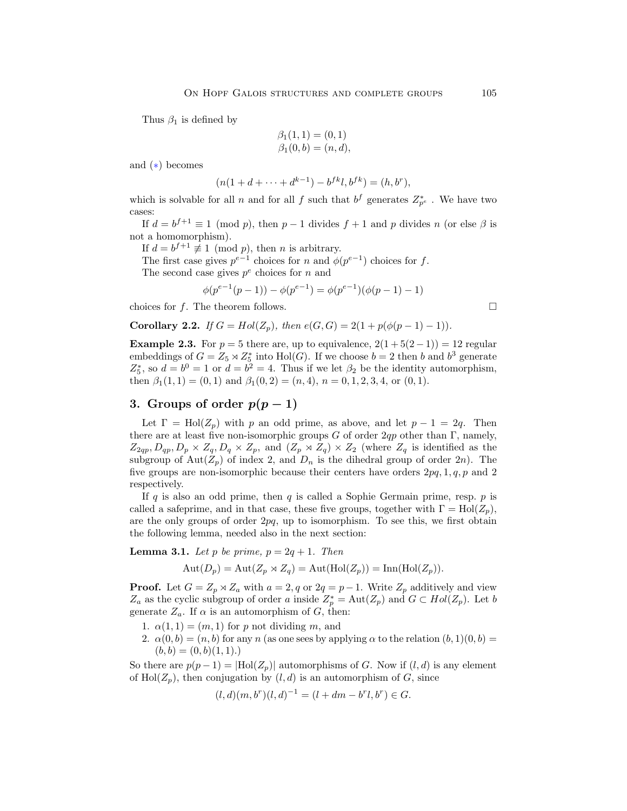<span id="page-6-0"></span>Thus  $\beta_1$  is defined by

$$
\beta_1(1,1) = (0,1) \n\beta_1(0,b) = (n,d),
$$

and ([∗](#page-5-0)) becomes

$$
(n(1 + d + \dots + d^{k-1}) - b^{fk}l, b^{fk}) = (h, b^r),
$$

which is solvable for all n and for all f such that  $b^f$  generates  $Z_{p^e}^*$ . We have two cases:

If  $d = b^{f+1} \equiv 1 \pmod{p}$ , then  $p-1$  divides  $f+1$  and p divides n (or else  $\beta$  is not a homomorphism).

If  $d = b^{f+1} \not\equiv 1 \pmod{p}$ , then *n* is arbitrary.

The first case gives  $p^{e-1}$  choices for n and  $\phi(p^{e-1})$  choices for f. The second case gives  $p^e$  choices for n and

$$
\phi(p^{e-1}(p-1)) - \phi(p^{e-1}) = \phi(p^{e-1})(\phi(p-1) - 1)
$$

choices for f. The theorem follows.  $\square$ 

**Corollary 2.2.** If  $G = Hol(Z_p)$ , then  $e(G, G) = 2(1 + p(\phi(p-1) - 1)).$ 

**Example 2.3.** For  $p = 5$  there are, up to equivalence,  $2(1+5(2-1)) = 12$  regular embeddings of  $G = Z_5 \rtimes Z_5^*$  into  $\text{Hol}(G)$ . If we choose  $b = 2$  then b and  $b^3$  generate  $Z_5^*$ , so  $d = b^0 = 1$  or  $d = b^2 = 4$ . Thus if we let  $\beta_2$  be the identity automorphism, then  $\beta_1(1,1) = (0,1)$  and  $\beta_1(0,2) = (n,4)$ ,  $n = 0,1,2,3,4$ , or  $(0,1)$ .

## **3.** Groups of order  $p(p-1)$

Let  $\Gamma = Hol(Z_p)$  with p an odd prime, as above, and let  $p - 1 = 2q$ . Then there are at least five non-isomorphic groups G of order  $2qp$  other than Γ, namely,  $Z_{2qp}, D_{qp}, D_p \times Z_q, D_q \times Z_p$ , and  $(Z_p \rtimes Z_q) \times Z_2$  (where  $Z_q$  is identified as the subgroup of Aut $(Z_p)$  of index 2, and  $D_n$  is the dihedral group of order  $2n$ ). The five groups are non-isomorphic because their centers have orders  $2pq, 1, q, p$  and 2 respectively.

If q is also an odd prime, then q is called a Sophie Germain prime, resp.  $p$  is called a safeprime, and in that case, these five groups, together with  $\Gamma = Hol(Z_p)$ , are the only groups of order  $2pq$ , up to isomorphism. To see this, we first obtain the following lemma, needed also in the next section:

**Lemma 3.1.** Let p be prime,  $p = 2q + 1$ . Then

$$
Aut(D_p) = Aut(Z_p \rtimes Z_q) = Aut(Hol(Z_p)) = Inn(Hol(Z_p)).
$$

**Proof.** Let  $G = Z_p \rtimes Z_a$  with  $a = 2, q$  or  $2q = p-1$ . Write  $Z_p$  additively and view  $Z_a$  as the cyclic subgroup of order a inside  $Z_p^* = \text{Aut}(Z_p)$  and  $G \subset Hol(Z_p)$ . Let b generate  $Z_a$ . If  $\alpha$  is an automorphism of G, then:

- 1.  $\alpha(1,1) = (m,1)$  for p not dividing m, and
- 2.  $\alpha(0, b) = (n, b)$  for any n (as one sees by applying  $\alpha$  to the relation  $(b, 1)(0, b) =$  $(b, b) = (0, b)(1, 1).$

So there are  $p(p-1) = |Hol(Z_p)|$  automorphisms of G. Now if  $(l, d)$  is any element of  $\text{Hol}(Z_p)$ , then conjugation by  $(l, d)$  is an automorphism of G, since

$$
(l, d)(m, br)(l, d)-1 = (l + dm - brl, br) \in G.
$$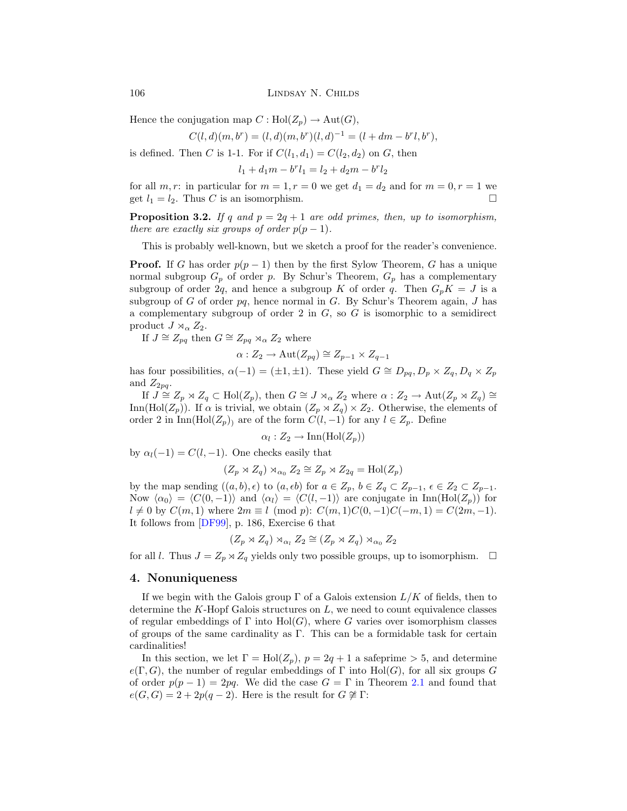<span id="page-7-0"></span>106 LINDSAY N. CHILDS

Hence the conjugation map  $C : Hol(Z_p) \to Aut(G)$ ,

$$
C(l, d)(m, br) = (l, d)(m, br)(l, d)-1 = (l + dm - brl, br),
$$

is defined. Then C is 1-1. For if  $C(l_1, d_1) = C(l_2, d_2)$  on G, then

 $l_1 + d_1 m - b^r l_1 = l_2 + d_2 m - b^r l_2$ 

for all m, r: in particular for  $m = 1, r = 0$  we get  $d_1 = d_2$  and for  $m = 0, r = 1$  we get  $l_1 = l_2$ . Thus C is an isomorphism.

**Proposition 3.2.** If q and  $p = 2q + 1$  are odd primes, then, up to isomorphism, there are exactly six groups of order  $p(p-1)$ .

This is probably well-known, but we sketch a proof for the reader's convenience.

**Proof.** If G has order  $p(p-1)$  then by the first Sylow Theorem, G has a unique normal subgroup  $G_p$  of order p. By Schur's Theorem,  $G_p$  has a complementary subgroup of order 2q, and hence a subgroup K of order q. Then  $G_pK = J$  is a subgroup of G of order  $pq$ , hence normal in G. By Schur's Theorem again, J has a complementary subgroup of order 2 in  $G$ , so  $G$  is isomorphic to a semidirect product  $J \rtimes_{\alpha} Z_2$ .

If  $J \cong Z_{pq}$  then  $G \cong Z_{pq} \rtimes_{\alpha} Z_2$  where

$$
\alpha: Z_2 \to \mathrm{Aut}(Z_{pq}) \cong Z_{p-1} \times Z_{q-1}
$$

has four possibilities,  $\alpha(-1) = (\pm 1, \pm 1)$ . These yield  $G \cong D_{pq}, D_p \times Z_q, D_q \times Z_p$ and  $Z_{2pq}$ .

If  $J \cong Z_p \rtimes Z_q \subset Hol(Z_p)$ , then  $G \cong J \rtimes_{\alpha} Z_2$  where  $\alpha: Z_2 \to \mathrm{Aut}(Z_p \rtimes Z_q) \cong$ Inn(Hol( $Z_p$ )). If  $\alpha$  is trivial, we obtain  $(Z_p \rtimes Z_q) \times Z_2$ . Otherwise, the elements of order 2 in Inn(Hol( $Z_p$ ) are of the form  $C(l, -1)$  for any  $l \in Z_p$ . Define

$$
\alpha_l : Z_2 \to \text{Inn}(\text{Hol}(Z_p))
$$

by  $\alpha_l(-1) = C(l, -1)$ . One checks easily that

$$
(Z_p \rtimes Z_q) \rtimes_{\alpha_0} Z_2 \cong Z_p \rtimes Z_{2q} = Hol(Z_p)
$$

by the map sending  $((a, b), \epsilon)$  to  $(a, \epsilon b)$  for  $a \in Z_p$ ,  $b \in Z_q \subset Z_{p-1}$ ,  $\epsilon \in Z_2 \subset Z_{p-1}$ . Now  $\langle \alpha_0 \rangle = \langle C(0, -1) \rangle$  and  $\langle \alpha_1 \rangle = \langle C(l, -1) \rangle$  are conjugate in Inn(Hol(Z<sub>p</sub>)) for  $l \neq 0$  by  $C(m, 1)$  where  $2m \equiv l \pmod{p}$ :  $C(m, 1)C(0, -1)C(-m, 1) = C(2m, -1)$ . It follows from [\[DF99\]](#page-16-0), p. 186, Exercise 6 that

$$
(Z_p \rtimes Z_q) \rtimes_{\alpha_l} Z_2 \cong (Z_p \rtimes Z_q) \rtimes_{\alpha_0} Z_2
$$

for all l. Thus  $J = Z_p \rtimes Z_q$  yields only two possible groups, up to isomorphism.  $\Box$ 

#### **4. Nonuniqueness**

If we begin with the Galois group  $\Gamma$  of a Galois extension  $L/K$  of fields, then to determine the  $K$ -Hopf Galois structures on  $L$ , we need to count equivalence classes of regular embeddings of  $\Gamma$  into  $Hol(G)$ , where G varies over isomorphism classes of groups of the same cardinality as  $\Gamma$ . This can be a formidable task for certain cardinalities!

In this section, we let  $\Gamma = Hol(Z_p)$ ,  $p = 2q + 1$  a safeprime  $> 5$ , and determine  $e(\Gamma, G)$ , the number of regular embeddings of  $\Gamma$  into  $\text{Hol}(G)$ , for all six groups G of order  $p(p-1) = 2pq$ . We did the case  $G = \Gamma$  in Theorem [2.1](#page-3-0) and found that  $e(G, G) = 2 + 2p(q - 2)$ . Here is the result for  $G \not\cong \Gamma$ :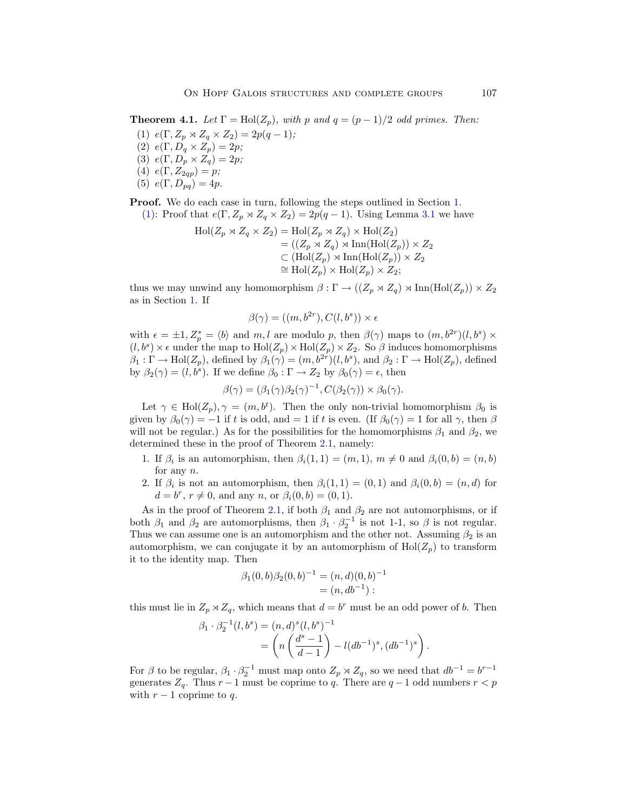<span id="page-8-0"></span>**Theorem 4.1.** Let  $\Gamma = Hol(Z_p)$ , with p and  $q = (p-1)/2$  odd primes. Then:

- (1)  $e(\Gamma, Z_p \rtimes Z_q \times Z_2)=2p(q-1);$
- (2)  $e(\Gamma, D_q \times Z_p) = 2p;$
- (3)  $e(\Gamma, D_p \times Z_q) = 2p;$
- (4)  $e(\Gamma, Z_{2qp}) = p;$
- (5)  $e(\Gamma, D_{pq})=4p$ .

**Proof.** We do each case in turn, following the steps outlined in Section [1](#page-1-0).

(1): Proof that 
$$
e(\Gamma, Z_p \rtimes Z_q \times Z_2) = 2p(q-1)
$$
. Using Lemma 3.1 we have

$$
\mathrm{Hol}(Z_p \rtimes Z_q \times Z_2) = \mathrm{Hol}(Z_p \rtimes Z_q) \times \mathrm{Hol}(Z_2)
$$
  
= ((Z\_p \rtimes Z\_q) \rtimes \mathrm{Inn}(\mathrm{Hol}(Z\_p)) \times Z\_2  

$$
\subset (\mathrm{Hol}(Z_p) \rtimes \mathrm{Inn}(\mathrm{Hol}(Z_p)) \times Z_2
$$
\cong \mathrm{Hol}(Z_p) \times \mathrm{Hol}(Z_p) \times Z_2;
$$
$$

thus we may unwind any homomorphism  $\beta : \Gamma \to ((Z_p \rtimes Z_q) \rtimes \text{Inn}(\text{Hol}(Z_p)) \times Z_2)$ as in Section [1](#page-1-0). If

$$
\beta(\gamma) = ((m, b^{2r}), C(l, b^s)) \times \epsilon
$$

with  $\epsilon = \pm 1, Z_p^* = \langle b \rangle$  and  $m, l$  are modulo p, then  $\beta(\gamma)$  maps to  $(m, b^{2r})(l, b^s) \times$  $(l, b^s) \times \epsilon$  under the map to  $\text{Hol}(Z_p) \times \text{Hol}(Z_p) \times Z_2$ . So  $\beta$  induces homomorphisms  $\beta_1 : \Gamma \to \text{Hol}(Z_p)$ , defined by  $\beta_1(\gamma)=(m, b^{2r})(l, b^s)$ , and  $\beta_2 : \Gamma \to \text{Hol}(Z_p)$ , defined by  $\beta_2(\gamma)=(l, b^s)$ . If we define  $\beta_0 : \Gamma \to Z_2$  by  $\beta_0(\gamma)=\epsilon$ , then

$$
\beta(\gamma) = (\beta_1(\gamma)\beta_2(\gamma)^{-1}, C(\beta_2(\gamma)) \times \beta_0(\gamma).
$$

Let  $\gamma \in Hol(Z_p), \gamma = (m, b^t)$ . Then the only non-trivial homomorphism  $\beta_0$  is given by  $\beta_0(\gamma) = -1$  if t is odd, and = 1 if t is even. (If  $\beta_0(\gamma) = 1$  for all  $\gamma$ , then  $\beta$ will not be regular.) As for the possibilities for the homomorphisms  $\beta_1$  and  $\beta_2$ , we determined these in the proof of Theorem [2.1](#page-3-0), namely:

- 1. If  $\beta_i$  is an automorphism, then  $\beta_i(1,1) = (m, 1), m \neq 0$  and  $\beta_i(0, b) = (n, b)$ for any n.
- 2. If  $\beta_i$  is not an automorphism, then  $\beta_i(1,1)=(0,1)$  and  $\beta_i(0,b)=(n,d)$  for  $d = b^r, r \neq 0$ , and any n, or  $\beta_i(0, b) = (0, 1)$ .

As in the proof of Theorem [2.1,](#page-3-0) if both  $\beta_1$  and  $\beta_2$  are not automorphisms, or if both  $\beta_1$  and  $\beta_2$  are automorphisms, then  $\beta_1 \cdot \beta_2^{-1}$  is not 1-1, so  $\beta$  is not regular. Thus we can assume one is an automorphism and the other not. Assuming  $\beta_2$  is an automorphism, we can conjugate it by an automorphism of  $\text{Hol}(Z_p)$  to transform it to the identity map. Then

$$
\beta_1(0,b)\beta_2(0,b)^{-1} = (n,d)(0,b)^{-1}
$$
  
=  $(n, db^{-1})$ :

this must lie in  $Z_p \rtimes Z_q$ , which means that  $d = b^r$  must be an odd power of b. Then

$$
\beta_1 \cdot \beta_2^{-1}(l, b^s) = (n, d)^s (l, b^s)^{-1}
$$
  
=  $\left( n \left( \frac{d^s - 1}{d - 1} \right) - l (db^{-1})^s, (db^{-1})^s \right).$ 

For  $\beta$  to be regular,  $\beta_1 \cdot \beta_2^{-1}$  must map onto  $Z_p \rtimes Z_q$ , so we need that  $db^{-1} = b^{r-1}$ generates  $Z_q$ . Thus  $r-1$  must be coprime to q. There are  $q-1$  odd numbers  $r < p$ with  $r - 1$  coprime to q.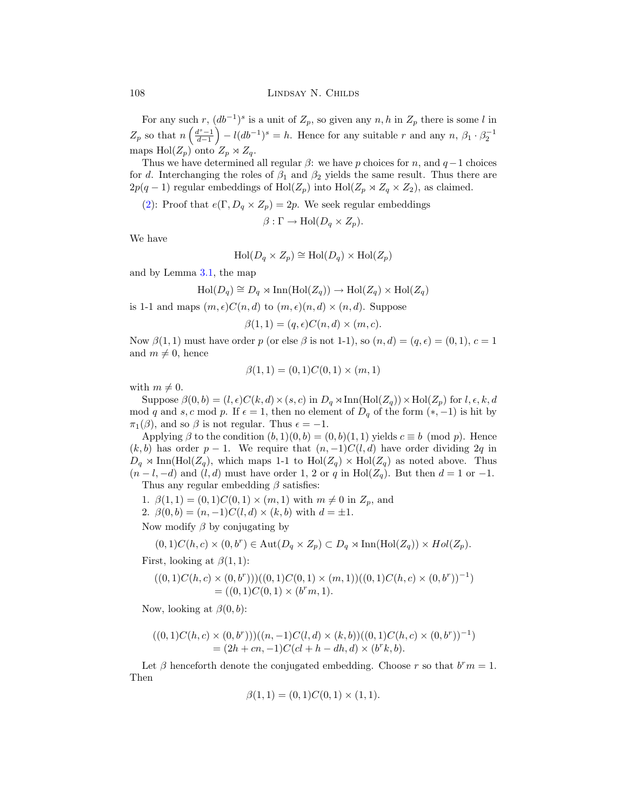For any such r,  $(db^{-1})^s$  is a unit of  $Z_p$ , so given any  $n, h$  in  $Z_p$  there is some l in  $Z_p$  so that  $n\left(\frac{d^s-1}{d-1}\right)$  $- l(db^{-1})^s = h$ . Hence for any suitable r and any  $n, \beta_1 \cdot \beta_2^{-1}$ maps  $\text{Hol}(Z_p)$  onto  $Z_p \rtimes Z_q$ .

Thus we have determined all regular  $\beta$ : we have p choices for n, and  $q-1$  choices for d. Interchanging the roles of  $\beta_1$  and  $\beta_2$  yields the same result. Thus there are  $2p(q-1)$  regular embeddings of  $\text{Hol}(Z_p)$  into  $\text{Hol}(Z_p \rtimes Z_q \times Z_2)$ , as claimed.

([2](#page-8-0)): Proof that  $e(\Gamma, D_q \times Z_p) = 2p$ . We seek regular embeddings

 $\beta : \Gamma \to \text{Hol}(D_q \times Z_p).$ 

We have

$$
Hol(D_q \times Z_p) \cong Hol(D_q) \times Hol(Z_p)
$$

and by Lemma [3.1](#page-6-0), the map

$$
Hol(D_q) \cong D_q \rtimes \text{Inn}(\text{Hol}(Z_q)) \to \text{Hol}(Z_q) \times \text{Hol}(Z_q)
$$

is 1-1 and maps  $(m, \epsilon)C(n, d)$  to  $(m, \epsilon)(n, d) \times (n, d)$ . Suppose

$$
\beta(1,1) = (q,\epsilon)C(n,d) \times (m,c).
$$

Now  $\beta(1,1)$  must have order p (or else  $\beta$  is not 1-1), so  $(n,d)=(q,\epsilon)=(0,1), c=1$ and  $m \neq 0$ , hence

$$
\beta(1,1) = (0,1)C(0,1) \times (m,1)
$$

with  $m \neq 0$ .

Suppose  $\beta(0, b) = (l, \epsilon)C(k, d) \times (s, c)$  in  $D_q \rtimes \text{Inn}(\text{Hol}(Z_q)) \times \text{Hol}(Z_p)$  for  $l, \epsilon, k, d$ mod q and s, c mod p. If  $\epsilon = 1$ , then no element of  $D_q$  of the form  $(*, -1)$  is hit by  $\pi_1(\beta)$ , and so  $\beta$  is not regular. Thus  $\epsilon = -1$ .

Applying  $\beta$  to the condition  $(b, 1)(0, b) = (0, b)(1, 1)$  yields  $c \equiv b \pmod{p}$ . Hence  $(k, b)$  has order  $p - 1$ . We require that  $(n, -1)C(l, d)$  have order dividing 2q in  $D_q \rtimes \text{Inn}(\text{Hol}(Z_q))$ , which maps 1-1 to  $\text{Hol}(Z_q) \times \text{Hol}(Z_q)$  as noted above. Thus  $(n-l, -d)$  and  $(l, d)$  must have order 1, 2 or q in Hol( $Z_q$ ). But then  $d = 1$  or  $-1$ . Thus any regular embedding  $\beta$  satisfies:

1.  $\beta(1,1) = (0,1)C(0,1) \times (m,1)$  with  $m \neq 0$  in  $Z_p$ , and

2.  $\beta(0, b) = (n, -1)C(l, d) \times (k, b)$  with  $d = \pm 1$ .

Now modify  $\beta$  by conjugating by

$$
(0,1)C(h,c) \times (0,b^r) \in \text{Aut}(D_q \times Z_p) \subset D_q \rtimes \text{Inn}(\text{Hol}(Z_q)) \times Hol(Z_p).
$$

First, looking at  $\beta(1,1)$ :

$$
((0,1)C(h,c) \times (0,b^r))((0,1)C(0,1) \times (m,1))((0,1)C(h,c) \times (0,b^r))^{-1})
$$
  
= ((0,1)C(0,1) \times (b^r m,1).

Now, looking at  $\beta(0, b)$ :

$$
((0,1)C(h,c) \times (0,b^r))((n,-1)C(l,d) \times (k,b))((0,1)C(h,c) \times (0,b^r))^{-1})
$$
  
=  $(2h+cn,-1)C(cl+h-dh,d) \times (b^r k,b).$ 

Let  $\beta$  henceforth denote the conjugated embedding. Choose r so that  $b^r m = 1$ . Then

$$
\beta(1,1) = (0,1)C(0,1) \times (1,1).
$$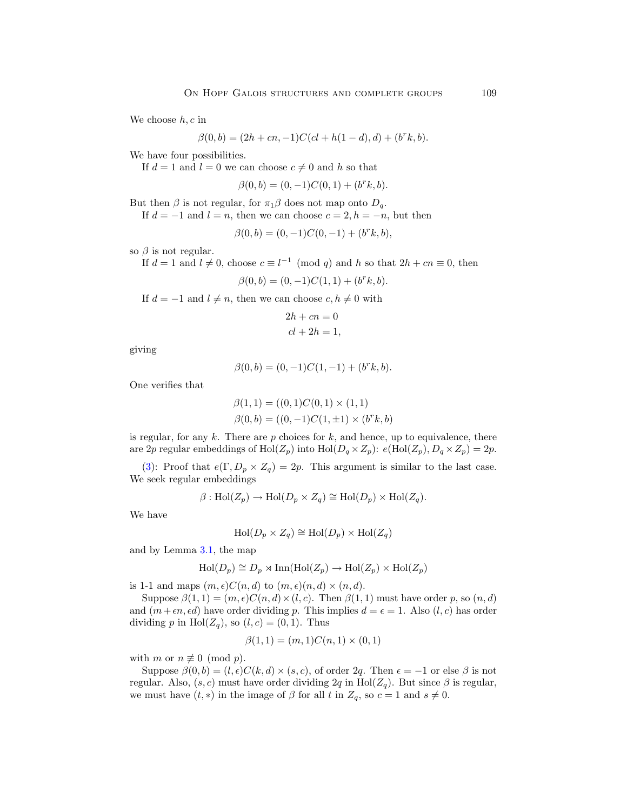We choose  $h, c$  in

$$
\beta(0, b) = (2h + cn, -1)C(cl + h(1 - d), d) + (b^r k, b).
$$

We have four possibilities.

If  $d = 1$  and  $l = 0$  we can choose  $c \neq 0$  and h so that

$$
\beta(0, b) = (0, -1)C(0, 1) + (b^r k, b).
$$

But then  $\beta$  is not regular, for  $\pi_1\beta$  does not map onto  $D_q$ .

If  $d = -1$  and  $l = n$ , then we can choose  $c = 2, h = -n$ , but then

$$
\beta(0, b) = (0, -1)C(0, -1) + (b^r k, b),
$$

so  $\beta$  is not regular.

If  $d = 1$  and  $l \neq 0$ , choose  $c \equiv l^{-1} \pmod{q}$  and h so that  $2h + cn \equiv 0$ , then

$$
\beta(0, b) = (0, -1)C(1, 1) + (b^r k, b).
$$

If  $d = -1$  and  $l \neq n$ , then we can choose  $c, h \neq 0$  with

$$
2h + cn = 0
$$
  

$$
cl + 2h = 1,
$$

giving

$$
\beta(0, b) = (0, -1)C(1, -1) + (b^r k, b).
$$

One verifies that

$$
\beta(1,1) = ((0,1)C(0,1) \times (1,1)
$$
  

$$
\beta(0,b) = ((0,-1)C(1,\pm 1) \times (b^r k, b))
$$

is regular, for any  $k$ . There are  $p$  choices for  $k$ , and hence, up to equivalence, there are 2p regular embeddings of  $Hol(Z_p)$  into  $Hol(D_q \times Z_p)$ :  $e(Hol(Z_p), D_q \times Z_p)=2p$ .

([3](#page-8-0)): Proof that  $e(\Gamma, D_p \times Z_q) = 2p$ . This argument is similar to the last case. We seek regular embeddings

$$
\beta: \text{Hol}(Z_p) \to \text{Hol}(D_p \times Z_q) \cong \text{Hol}(D_p) \times \text{Hol}(Z_q).
$$

We have

$$
\operatorname{Hol}(D_p \times Z_q) \cong \operatorname{Hol}(D_p) \times \operatorname{Hol}(Z_q)
$$

and by Lemma [3.1](#page-6-0), the map

$$
\text{Hol}(D_p) \cong D_p \rtimes \text{Inn}(\text{Hol}(Z_p) \to \text{Hol}(Z_p) \times \text{Hol}(Z_p)
$$

is 1-1 and maps  $(m, \epsilon)C(n, d)$  to  $(m, \epsilon)(n, d) \times (n, d)$ .

Suppose  $\beta(1,1) = (m,\epsilon)C(n,d) \times (l, c)$ . Then  $\beta(1,1)$  must have order p, so  $(n,d)$ and  $(m+\epsilon n, \epsilon d)$  have order dividing p. This implies  $d = \epsilon = 1$ . Also  $(l, c)$  has order dividing p in  $\text{Hol}(Z_q)$ , so  $(l, c) = (0, 1)$ . Thus

$$
\beta(1,1) = (m,1)C(n,1) \times (0,1)
$$

with m or  $n \not\equiv 0 \pmod{p}$ .

Suppose  $\beta(0, b) = (l, \epsilon)C(k, d) \times (s, c)$ , of order 2q. Then  $\epsilon = -1$  or else  $\beta$  is not regular. Also,  $(s, c)$  must have order dividing 2q in Hol( $Z_q$ ). But since  $\beta$  is regular, we must have  $(t, *)$  in the image of  $\beta$  for all t in  $Z_q$ , so  $c = 1$  and  $s \neq 0$ .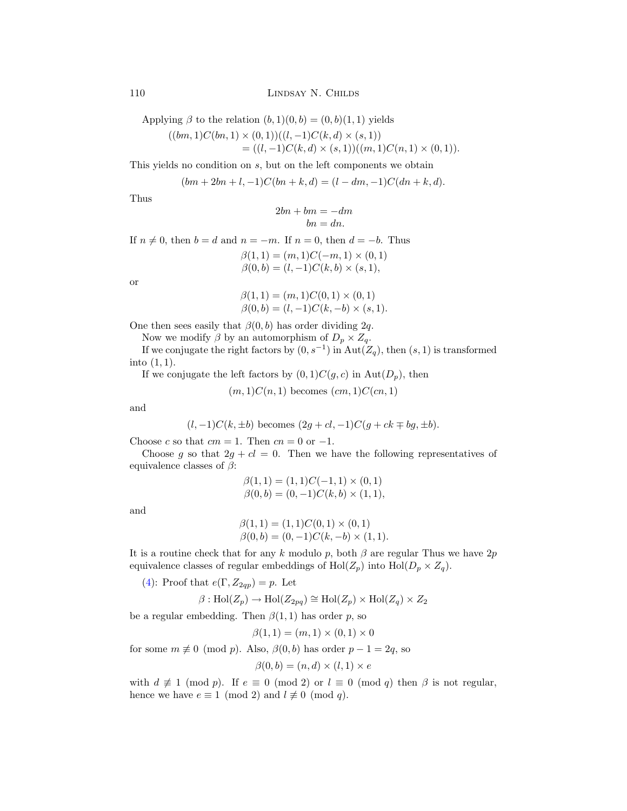Applying  $\beta$  to the relation  $(b, 1)(0, b) = (0, b)(1, 1)$  yields

$$
((bm,1)C(bn,1) \times (0,1))((l,-1)C(k,d) \times (s,1))
$$
  
= ((l,-1)C(k,d) \times (s,1))((m,1)C(n,1) \times (0,1)).

This yields no condition on s, but on the left components we obtain

$$
(bm + 2bn + l, -1)C(bn + k, d) = (l - dm, -1)C(dn + k, d).
$$

Thus

$$
2bn + bm = -dm
$$

$$
bn = dn.
$$

If  $n \neq 0$ , then  $b = d$  and  $n = -m$ . If  $n = 0$ , then  $d = -b$ . Thus  $\beta(1, 1) = (m, 1)C(-m, 1) \times (0, 1)$  $\beta(0, b) = (l, -1)C(k, b) \times (s, 1),$ 

or

$$
\beta(1,1) = (m,1)C(0,1) \times (0,1)
$$
  
\n
$$
\beta(0,b) = (l,-1)C(k,-b) \times (s,1).
$$

One then sees easily that  $\beta(0, b)$  has order dividing 2q.

Now we modify  $\beta$  by an automorphism of  $D_p \times Z_q$ .

If we conjugate the right factors by  $(0, s^{-1})$  in  $Aut(Z_q)$ , then  $(s, 1)$  is transformed into  $(1, 1)$ .

If we conjugate the left factors by  $(0, 1)C(g, c)$  in  $Aut(D_p)$ , then

$$
(m,1)C(n,1)
$$
 becomes  $(cm,1)C(cn,1)$ 

and

$$
(l, -1)C(k, \pm b)
$$
 becomes  $(2g + cl, -1)C(g + ck \mp bg, \pm b)$ .

Choose c so that  $cm = 1$ . Then  $cn = 0$  or  $-1$ .

Choose g so that  $2g + cl = 0$ . Then we have the following representatives of equivalence classes of  $\beta$ :

$$
\beta(1,1) = (1,1)C(-1,1) \times (0,1)
$$
  

$$
\beta(0,b) = (0,-1)C(k,b) \times (1,1),
$$

and

$$
\beta(1,1) = (1,1)C(0,1) \times (0,1) \n\beta(0,b) = (0,-1)C(k,-b) \times (1,1).
$$

It is a routine check that for any k modulo p, both  $\beta$  are regular Thus we have 2p equivalence classes of regular embeddings of  $\text{Hol}(Z_p)$  into  $\text{Hol}(D_p \times Z_q)$ .

([4](#page-8-0)): Proof that  $e(\Gamma, Z_{2qp}) = p$ . Let

$$
\beta: \operatorname{Hol}(Z_p) \to \operatorname{Hol}(Z_{2pq}) \cong \operatorname{Hol}(Z_p) \times \operatorname{Hol}(Z_q) \times Z_2
$$

be a regular embedding. Then  $\beta(1,1)$  has order p, so

$$
\beta(1,1) = (m,1) \times (0,1) \times 0
$$

for some  $m \not\equiv 0 \pmod{p}$ . Also,  $\beta(0, b)$  has order  $p - 1 = 2q$ , so

$$
\beta(0, b) = (n, d) \times (l, 1) \times e
$$

with  $d \not\equiv 1 \pmod{p}$ . If  $e \equiv 0 \pmod{2}$  or  $l \equiv 0 \pmod{q}$  then  $\beta$  is not regular, hence we have  $e \equiv 1 \pmod{2}$  and  $l \not\equiv 0 \pmod{q}$ .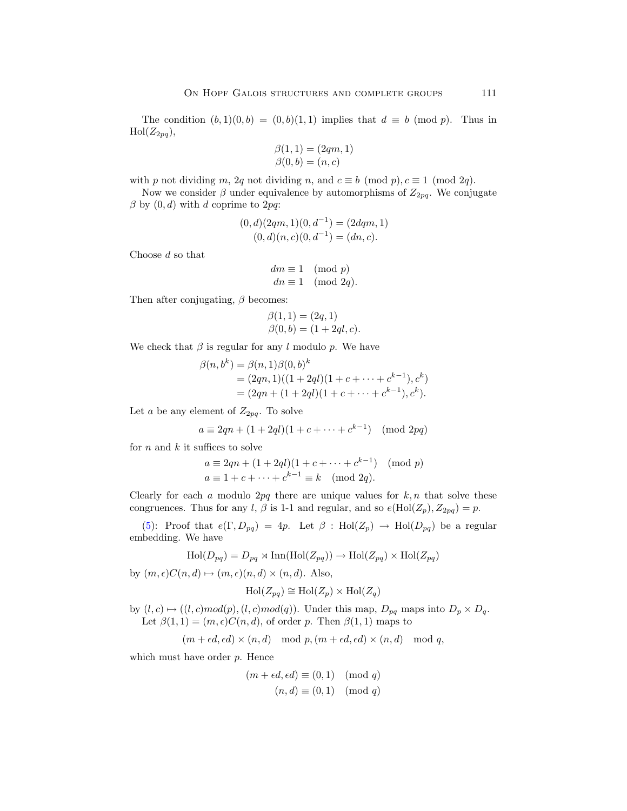The condition  $(b, 1)(0, b) = (0, b)(1, 1)$  implies that  $d \equiv b \pmod{p}$ . Thus in  $\mathrm{Hol}(Z_{2pq}),$ 

$$
\begin{array}{l} \beta(1,1)=(2qm,1) \\ \beta(0,b)=(n,c) \end{array}
$$

with p not dividing m, 2q not dividing n, and  $c \equiv b \pmod{p}$ ,  $c \equiv 1 \pmod{2q}$ .

Now we consider  $\beta$  under equivalence by automorphisms of  $Z_{2pq}$ . We conjugate  $\beta$  by  $(0, d)$  with d coprime to 2pq:

$$
(0, d)(2qm, 1)(0, d-1) = (2dqm, 1)(0, d)(n, c)(0, d-1) = (dn, c).
$$

Choose d so that

$$
dm \equiv 1 \pmod{p}
$$
  

$$
dn \equiv 1 \pmod{2q}.
$$

Then after conjugating,  $\beta$  becomes:

$$
\beta(1, 1) = (2q, 1) \n\beta(0, b) = (1 + 2ql, c).
$$

We check that  $\beta$  is regular for any l modulo p. We have

$$
\beta(n, b^k) = \beta(n, 1)\beta(0, b)^k
$$
  
=  $(2qn, 1)((1 + 2ql)(1 + c + \cdots + c^{k-1}), c^k)$   
=  $(2qn + (1 + 2ql)(1 + c + \cdots + c^{k-1}), c^k).$ 

Let a be any element of  $Z_{2pq}$ . To solve

$$
a \equiv 2qn + (1 + 2ql)(1 + c + \dots + c^{k-1}) \pmod{2pq}
$$

for  $n$  and  $k$  it suffices to solve

$$
a \equiv 2qn + (1 + 2ql)(1 + c + \dots + c^{k-1}) \pmod{p}
$$
  
\n
$$
a \equiv 1 + c + \dots + c^{k-1} \equiv k \pmod{2q}.
$$

Clearly for each a modulo 2pq there are unique values for  $k, n$  that solve these congruences. Thus for any l,  $\beta$  is 1-1 and regular, and so  $e(\text{Hol}(Z_p), Z_{2pq}) = p$ .

([5](#page-8-0)): Proof that  $e(\Gamma, D_{pq})=4p$ . Let  $\beta$  : Hol $(Z_p) \to Hol(D_{pq})$  be a regular embedding. We have

$$
\text{Hol}(D_{pq}) = D_{pq} \rtimes \text{Inn}(\text{Hol}(Z_{pq})) \to \text{Hol}(Z_{pq}) \times \text{Hol}(Z_{pq})
$$

by  $(m, \epsilon)C(n, d) \mapsto (m, \epsilon)(n, d) \times (n, d)$ . Also,

$$
Hol(Z_{pq}) \cong Hol(Z_p) \times Hol(Z_q)
$$

by  $(l, c) \mapsto ((l, c) \text{mod}(p), (l, c) \text{mod}(q)).$  Under this map,  $D_{pq}$  maps into  $D_p \times D_q$ . Let  $\beta(1,1) = (m,\epsilon)C(n,d)$ , of order p. Then  $\beta(1,1)$  maps to

 $(m + \epsilon d, \epsilon d) \times (n, d) \mod p, (m + \epsilon d, \epsilon d) \times (n, d) \mod q,$ 

which must have order  $p$ . Hence

$$
(m + \epsilon d, \epsilon d) \equiv (0, 1) \pmod{q}
$$

$$
(n, d) \equiv (0, 1) \pmod{q}
$$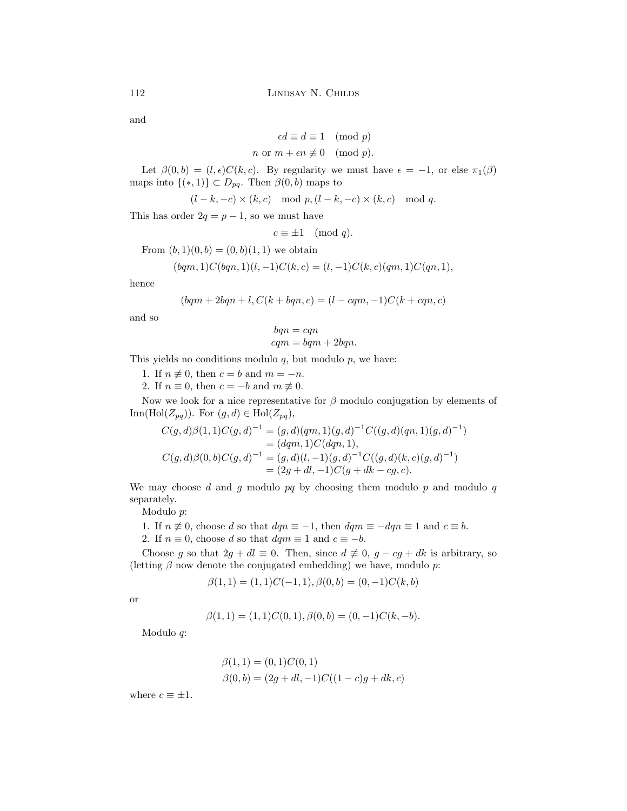and

$$
\epsilon d \equiv d \equiv 1 \pmod{p}
$$
  

$$
n \text{ or } m + \epsilon n \not\equiv 0 \pmod{p}.
$$

Let  $\beta(0, b) = (l, \epsilon)C(k, c)$ . By regularity we must have  $\epsilon = -1$ , or else  $\pi_1(\beta)$ maps into  $\{(*,1)\}\subset D_{pq}$ . Then  $\beta(0,b)$  maps to

 $(l - k, -c) \times (k, c) \mod p, (l - k, -c) \times (k, c) \mod q.$ 

This has order  $2q = p - 1$ , so we must have

$$
c \equiv \pm 1 \pmod{q}.
$$

From  $(b, 1)(0, b) = (0, b)(1, 1)$  we obtain

$$
(bqm,1)C(bqn,1)(l,-1)C(k,c) = (l,-1)C(k,c)(qm,1)C(qn,1),
$$

hence

$$
(bqm + 2bqn + l, C(k + bqn, c) = (l - cqm, -1)C(k + cqn, c)
$$

and so

$$
bqn = cqn
$$
  

$$
cqm = bqm + 2bqn.
$$

This yields no conditions modulo  $q$ , but modulo  $p$ , we have:

- 1. If  $n \neq 0$ , then  $c = b$  and  $m = -n$ .
- 2. If  $n \equiv 0$ , then  $c = -b$  and  $m \not\equiv 0$ .

Now we look for a nice representative for  $\beta$  modulo conjugation by elements of Inn(Hol $(Z_{pq})$ ). For  $(g, d) \in Hol(Z_{pq}),$ 

$$
C(g,d)\beta(1,1)C(g,d)^{-1} = (g,d)(qm,1)(g,d)^{-1}C((g,d)(qn,1)(g,d)^{-1})
$$
  
=  $(dqm,1)C(dqn,1),$   

$$
C(g,d)\beta(0,b)C(g,d)^{-1} = (g,d)(l,-1)(g,d)^{-1}C((g,d)(k,c)(g,d)^{-1})
$$
  
=  $(2g+dl,-1)C(g+dk-cg,c).$ 

We may choose  $d$  and  $g$  modulo  $pq$  by choosing them modulo  $p$  and modulo  $q$ separately.

Modulo p:

- 1. If  $n \neq 0$ , choose d so that  $dqn \equiv -1$ , then  $dqm \equiv -dqn \equiv 1$  and  $c \equiv b$ .
- 2. If  $n \equiv 0$ , choose d so that  $dqm \equiv 1$  and  $c \equiv -b$ .

Choose g so that  $2g + dl \equiv 0$ . Then, since  $d \neq 0$ ,  $g - cg + dk$  is arbitrary, so (letting  $\beta$  now denote the conjugated embedding) we have, modulo p:

$$
\beta(1,1) = (1,1)C(-1,1), \beta(0,b) = (0,-1)C(k,b)
$$

or

$$
\beta(1,1) = (1,1)C(0,1), \beta(0,b) = (0,-1)C(k,-b).
$$

Modulo q:

$$
\beta(1, 1) = (0, 1)C(0, 1)
$$
  

$$
\beta(0, b) = (2g + dl, -1)C((1 - c)g + dk, c)
$$

where  $c \equiv \pm 1$ .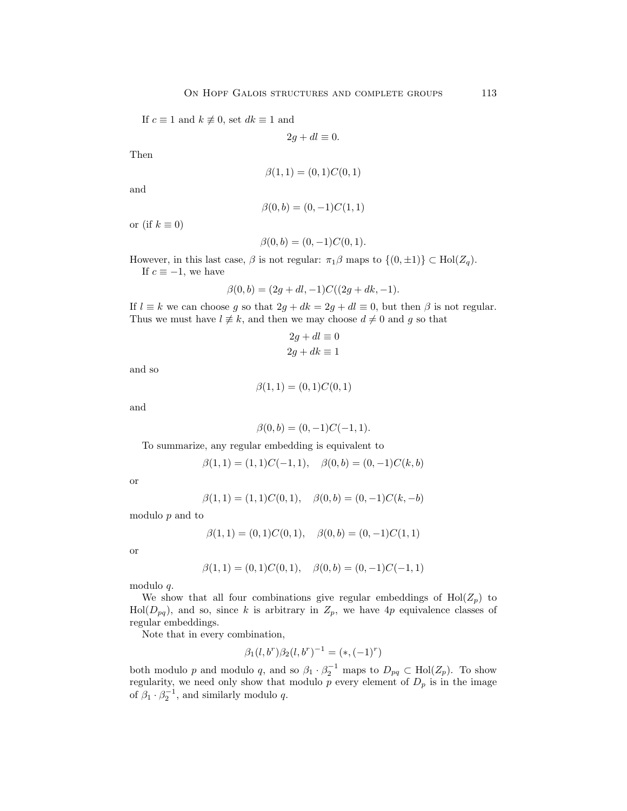If  $c \equiv 1$  and  $k \not\equiv 0$ , set  $dk \equiv 1$  and

$$
2g + dl \equiv 0.
$$

Then

$$
\beta(1,1) = (0,1)C(0,1)
$$

and

$$
\beta(0, b) = (0, -1)C(1, 1)
$$

or (if  $k \equiv 0$ )

$$
\beta(0, b) = (0, -1)C(0, 1).
$$

However, in this last case,  $\beta$  is not regular:  $\pi_1\beta$  maps to  $\{(0, \pm 1)\}\subset \text{Hol}(Z_q)$ . If  $c \equiv -1$ , we have

$$
\beta(0, b) = (2g + dl, -1)C((2g + dk, -1).
$$

If  $l \equiv k$  we can choose g so that  $2g + dk = 2g + dl \equiv 0$ , but then  $\beta$  is not regular. Thus we must have  $l \neq k$ , and then we may choose  $d \neq 0$  and g so that

$$
2g + dl \equiv 0
$$
  

$$
2g + dk \equiv 1
$$

and so

$$
\beta(1,1) = (0,1)C(0,1)
$$

and

$$
\beta(0, b) = (0, -1)C(-1, 1).
$$

To summarize, any regular embedding is equivalent to

$$
\beta(1,1) = (1,1)C(-1,1), \quad \beta(0,b) = (0,-1)C(k,b)
$$

or

$$
\beta(1,1) = (1,1)C(0,1), \quad \beta(0,b) = (0,-1)C(k,-b)
$$

modulo p and to

$$
\beta(1,1) = (0,1)C(0,1), \quad \beta(0,b) = (0,-1)C(1,1)
$$

or

$$
\beta(1,1) = (0,1)C(0,1), \quad \beta(0,b) = (0,-1)C(-1,1)
$$

modulo q.

We show that all four combinations give regular embeddings of  $\text{Hol}(Z_p)$  to  $Hol(D_{pq})$ , and so, since k is arbitrary in  $Z_p$ , we have 4p equivalence classes of regular embeddings.

Note that in every combination,

$$
\beta_1(l, b^r)\beta_2(l, b^r)^{-1} = (*, (-1)^r)
$$

both modulo p and modulo q, and so  $\beta_1 \cdot \beta_2^{-1}$  maps to  $D_{pq} \subset Hol(Z_p)$ . To show regularity, we need only show that modulo  $\overline{p}$  every element of  $D_p$  is in the image of  $\beta_1 \cdot \beta_2^{-1}$ , and similarly modulo q.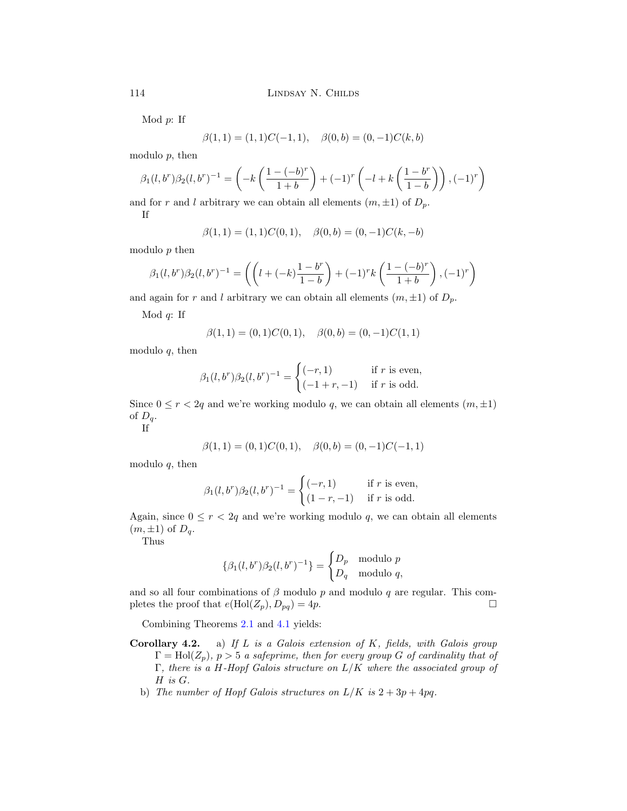Mod  $p$ : If

$$
\beta(1,1) = (1,1)C(-1,1), \quad \beta(0,b) = (0,-1)C(k,b)
$$

modulo  $p$ , then

$$
\beta_1(l, b^r)\beta_2(l, b^r)^{-1} = \left(-k\left(\frac{1 - (-b)^r}{1 + b}\right) + (-1)^r\left(-l + k\left(\frac{1 - b^r}{1 - b}\right)\right), (-1)^r\right)
$$

and for r and l arbitrary we can obtain all elements  $(m, \pm 1)$  of  $D_p$ . If

$$
\beta(1,1) = (1,1)C(0,1), \quad \beta(0,b) = (0,-1)C(k,-b)
$$

modulo  $p$  then

$$
\beta_1(l, b^r)\beta_2(l, b^r)^{-1} = \left( \left( l + (-k)\frac{1 - b^r}{1 - b} \right) + (-1)^r k \left( \frac{1 - (-b)^r}{1 + b} \right), (-1)^r \right)
$$

and again for r and l arbitrary we can obtain all elements  $(m, \pm 1)$  of  $D_p$ .

Mod  $q$ : If

$$
\beta(1,1) = (0,1)C(0,1), \quad \beta(0,b) = (0,-1)C(1,1)
$$

modulo  $q$ , then

$$
\beta_1(l, b^r)\beta_2(l, b^r)^{-1} = \begin{cases}\n(-r, 1) & \text{if } r \text{ is even,} \\
(-1 + r, -1) & \text{if } r \text{ is odd.}\n\end{cases}
$$

Since  $0 \le r < 2q$  and we're working modulo q, we can obtain all elements  $(m, \pm 1)$ of  $D_q$ .

If

$$
\beta(1,1) = (0,1)C(0,1), \quad \beta(0,b) = (0,-1)C(-1,1)
$$

modulo  $q$ , then

$$
\beta_1(l, b^r)\beta_2(l, b^r)^{-1} = \begin{cases}\n(-r, 1) & \text{if } r \text{ is even,} \\
(1-r, -1) & \text{if } r \text{ is odd.}\n\end{cases}
$$

Again, since  $0 \le r < 2q$  and we're working modulo q, we can obtain all elements  $(m, \pm 1)$  of  $D_q$ .

Thus

$$
\{\beta_1(l, b^r)\beta_2(l, b^r)^{-1}\} = \begin{cases} D_p & \text{modulo } p \\ D_q & \text{modulo } q, \end{cases}
$$

and so all four combinations of  $\beta$  modulo p and modulo q are regular. This completes the proof that  $e(\text{Hol}(Z_p), D_{pq})=4p$ .

Combining Theorems [2.1](#page-3-0) and [4.1](#page-8-0) yields:

- **Corollary 4.2.** a) If L is a Galois extension of K, fields, with Galois group  $\Gamma = Hol(Z_p)$ ,  $p > 5$  a safeprime, then for every group G of cardinality that of  $\Gamma$ , there is a H-Hopf Galois structure on  $L/K$  where the associated group of H is G.
	- b) The number of Hopf Galois structures on  $L/K$  is  $2+3p+4pq$ .

<span id="page-15-0"></span>